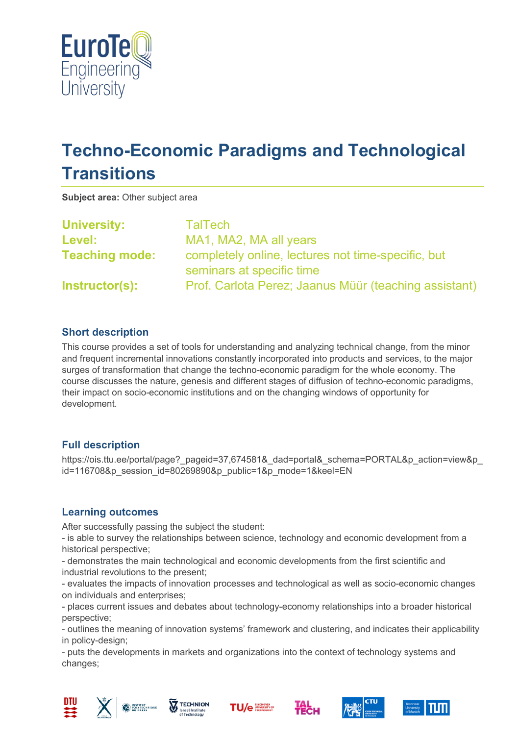

# **Techno-Economic Paradigms and Technological Transitions**

**Subject area:** Other subject area

| <b>University:</b>    | TalTech                                                                         |
|-----------------------|---------------------------------------------------------------------------------|
| Level:                | MA1, MA2, MA all years                                                          |
| <b>Teaching mode:</b> | completely online, lectures not time-specific, but<br>seminars at specific time |
| Instructor(s):        | Prof. Carlota Perez; Jaanus Müür (teaching assistant)                           |

## **Short description**

This course provides a set of tools for understanding and analyzing technical change, from the minor and frequent incremental innovations constantly incorporated into products and services, to the major surges of transformation that change the techno-economic paradigm for the whole economy. The course discusses the nature, genesis and different stages of diffusion of techno-economic paradigms, their impact on socio-economic institutions and on the changing windows of opportunity for development.

#### **Full description**

https://ois.ttu.ee/portal/page?\_pageid=37,674581&\_dad=portal&\_schema=PORTAL&p\_action=view&p id=116708&p\_session\_id=80269890&p\_public=1&p\_mode=1&keel=EN

#### **Learning outcomes**

After successfully passing the subject the student:

- is able to survey the relationships between science, technology and economic development from a historical perspective;

- demonstrates the main technological and economic developments from the first scientific and industrial revolutions to the present;

- evaluates the impacts of innovation processes and technological as well as socio-economic changes on individuals and enterprises;

- places current issues and debates about technology-economy relationships into a broader historical perspective;

- outlines the meaning of innovation systems' framework and clustering, and indicates their applicability in policy-design;

- puts the developments in markets and organizations into the context of technology systems and changes;













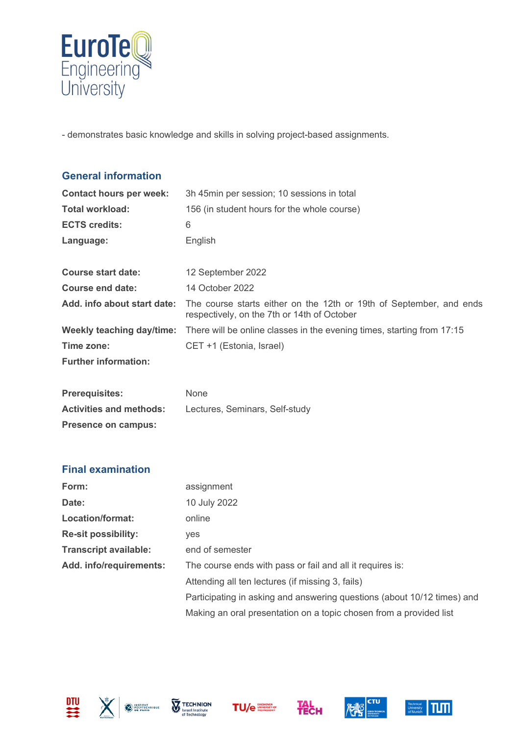

- demonstrates basic knowledge and skills in solving project-based assignments.

| <b>General information</b>       |                                                                                                                    |
|----------------------------------|--------------------------------------------------------------------------------------------------------------------|
| <b>Contact hours per week:</b>   | 3h 45min per session; 10 sessions in total                                                                         |
| <b>Total workload:</b>           | 156 (in student hours for the whole course)                                                                        |
| <b>ECTS credits:</b>             | 6                                                                                                                  |
| Language:                        | English                                                                                                            |
| <b>Course start date:</b>        | 12 September 2022                                                                                                  |
| <b>Course end date:</b>          | 14 October 2022                                                                                                    |
| Add. info about start date:      | The course starts either on the 12th or 19th of September, and ends<br>respectively, on the 7th or 14th of October |
| <b>Weekly teaching day/time:</b> | There will be online classes in the evening times, starting from 17:15                                             |
| Time zone:                       | CET +1 (Estonia, Israel)                                                                                           |
| <b>Further information:</b>      |                                                                                                                    |
| <b>Prerequisites:</b>            | None                                                                                                               |
| <b>Activities and methods:</b>   | Lectures, Seminars, Self-study                                                                                     |
| <b>Presence on campus:</b>       |                                                                                                                    |
| <b>Final examination</b>         |                                                                                                                    |
| Form:                            | assignment                                                                                                         |
| Date:                            | 10 July 2022                                                                                                       |
| Location/format:                 | online                                                                                                             |
| <b>Re-sit possibility:</b>       | yes                                                                                                                |
| <b>Transcript available:</b>     | end of semester                                                                                                    |
| Add. info/requirements:          | The course ends with pass or fail and all it requires is:                                                          |
|                                  | Attending all ten lectures (if missing 3, fails)                                                                   |
|                                  | Participating in asking and answering questions (about 10/12 times) and                                            |











Making an oral presentation on a topic chosen from a provided list